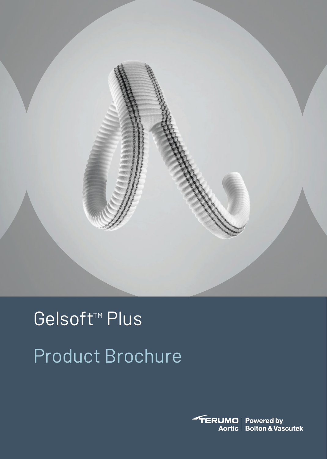

# Gelsoft<sup>™</sup> Plus Product Brochure

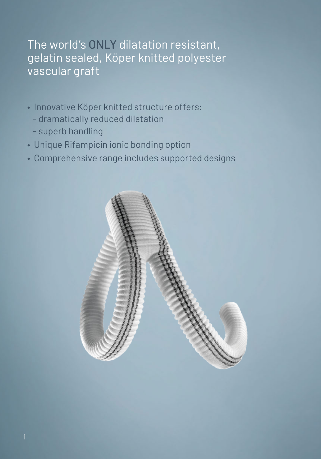#### The world's ONLY dilatation resistant, gelatin sealed, Köper knitted polyester vascular graft

- Innovative Köper knitted structure offers:
	- dramatically reduced dilatation
	- superb handling
- Unique Rifampicin ionic bonding option
- Comprehensive range includes supported designs

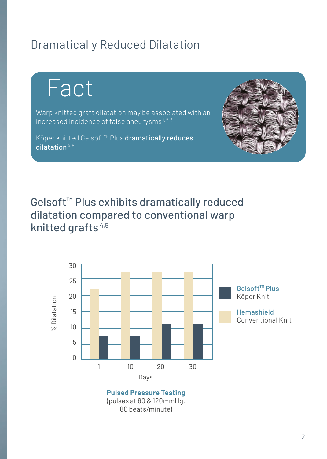#### Dramatically Reduced Dilatation

Fact

Warp knitted graft dilatation may be associated with an increased incidence of false aneurysms $1, 2, 3$ 

Köper knitted Gelsoft™ Plus dramatically reduces dilatation $4, 5$ 



Gelsoft™ Plus exhibits dramatically reduced dilatation compared to conventional warp knitted grafts 4,5



80 beats/minute)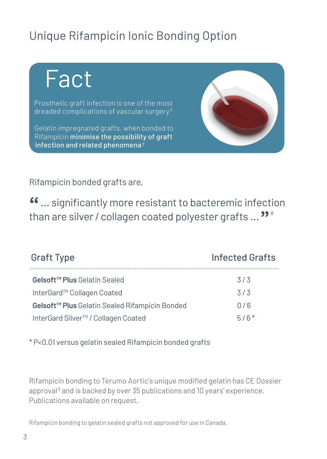#### Unique Rifampicin Ionic Bonding Option

## Fact

Prosthetic graft infection is one of the most dreaded complications of vascular surgery 6

Gelatin impregnated grafts, when bonded to Rifampicin minimise the possibility of graft infection and related phenomena<sup>7</sup>



Rifampicin bonded grafts are,

**"** ... significantly more resistant to bacteremic infection than are silver/ collagen coated polyester grafts ... **"** <sup>8</sup>

| <b>Graft Type</b>                                          | <b>Infected Grafts</b> |
|------------------------------------------------------------|------------------------|
| Gelsoft <sup>™</sup> Plus Gelatin Sealed                   | 3/3                    |
| InterGard™ Collagen Coated                                 | 3/3                    |
| Gelsoft <sup>™</sup> Plus Gelatin Sealed Rifampicin Bonded | 0/6                    |
| InterGard Silver <sup>™</sup> / Collagen Coated            | $5/6*$                 |

\* P<0.01 versus gelatin sealed Rifampicin bonded grafts

Rifampicin bonding to Terumo Aortic's unique modified gelatin has CE Dossier approval<sup>9</sup> and is backed by over 35 publications and 10 years' experience. Publications available on request.

Rifampicin bonding to gelatin sealed grafts not approved for use in Canada.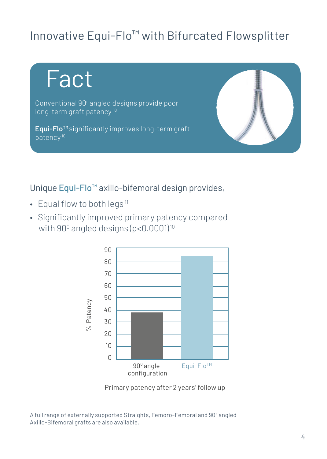#### Innovative Equi-Flo™ with Bifurcated Flowsplitter



#### Unique Equi-Flo<sup>™</sup> axillo-bifemoral design provides,

- Equal flow to both legs<sup>11</sup>
- Significantly improved primary patency compared with  $90^{\rm o}$  angled designs (p<0.0001) $^{\rm 10}$



Primary patency after 2 years' follow up

A full range of externally supported Straights, Femoro-Femoral and 90° angled Axillo-Bifemoral grafts are also available.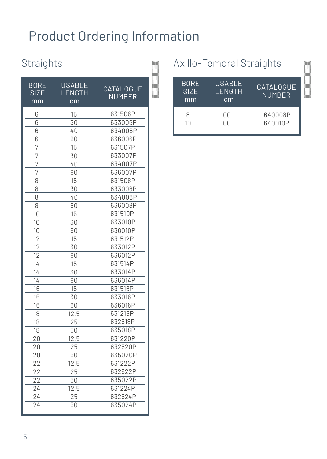## Product Ordering Information

#### **Straights**

| Straights                 |                               |                                   |  |
|---------------------------|-------------------------------|-----------------------------------|--|
| BORE<br><b>SIZE</b><br>mm | USABLE<br><b>LENGTH</b><br>cm | <b>CATALOGUE</b><br><b>NUMBER</b> |  |
| 6                         | 15                            | 631506P                           |  |
| 6                         | 30                            | 633006P                           |  |
| 6                         | 40                            | 634006P                           |  |
| 6                         | 60                            | 636006P                           |  |
| 7                         | 15                            | 631507P                           |  |
| 7                         | 30                            | 633007P                           |  |
| 7                         | 40                            | 634007P                           |  |
| 7                         | 60                            | 636007P                           |  |
| 8                         | 15                            | 631508P                           |  |
| 8                         | 30                            | 633008P                           |  |
| 8                         | 40                            | 634008P                           |  |
| 8                         | 60                            | 636008P                           |  |
| 10                        | 15                            | 631510P                           |  |
| 10                        | 30                            | 633010P                           |  |
| 10                        | 60                            | 636010P                           |  |
| 12                        | 15                            | 631512P                           |  |
| 12                        | 30                            | 633012P                           |  |
| 12                        | 60                            | 636012P                           |  |
| 14                        | 15                            | 631514P                           |  |
| $14^{-}$                  | 30                            | 633014P                           |  |
| 14                        | 60                            | 636014P                           |  |
| 16                        | 15                            | 631516P                           |  |
| 16                        | 30                            | 633016P                           |  |
| 16                        | 60                            | 636016P                           |  |
| 18                        | 12.5                          | 631218P                           |  |
| 18                        | 25                            | 632518P                           |  |
| 18                        | 50                            | 635018P                           |  |
| 20                        | 12.5                          | 631220P                           |  |
| 20                        | 25                            | 632520P                           |  |
| 20                        | 50                            | 635020P                           |  |
| 22                        | 12.5                          | 631222P                           |  |
| 22                        | $\overline{25}$               | 632522P                           |  |
| 22                        | 50                            | 635022P                           |  |
| 24                        | 12.5                          | 631224P                           |  |
| 24                        | $\overline{25}$               | 632524P                           |  |
| $\overline{24}$           | 50                            | 635024P                           |  |

#### Axillo-Femoral Straights

| <b>BORE</b><br><b>SIZE</b><br>mm | USABLE<br>LENGTH<br>cm | CATALOGUE<br><b>NUMBER</b> |
|----------------------------------|------------------------|----------------------------|
| Я                                | 100                    | 640008P                    |
| 10                               | 100                    | 640010P                    |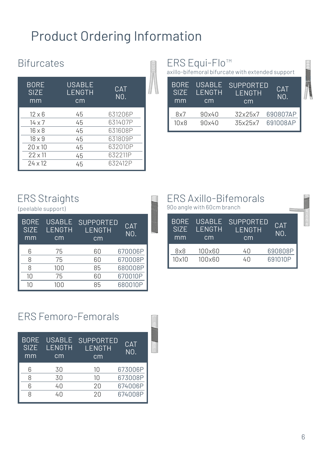### Product Ordering Information

#### **Bifurcates**

| BITURCATES                       |                               |                                |  |
|----------------------------------|-------------------------------|--------------------------------|--|
| <b>BORE</b><br><b>SIZE</b><br>mm | <b>USABLE</b><br>LENGTH<br>cm | <b>CAT</b><br>N <sub>0</sub> . |  |
| $12 \times 6$                    | 45                            | 631206P                        |  |
| $14 \times 7$                    | 45                            | 631407P                        |  |
| $16 \times 8$                    | 45                            | 631608P                        |  |
| $18 \times 9$                    | 45                            | 631809P                        |  |
| $20 \times 10$                   | 45                            | 632010P                        |  |
| $22 \times 11$                   | 45                            | 632211P                        |  |
| $24 \times 12$                   | 45                            | 632412P                        |  |

#### ERS Equi-Flo<sup>™</sup>

axillo-bifemoral bifurcate with extended support

| <b>BORE</b><br>SI <sub>7</sub> F<br>mm | <b>USABLE</b><br>I FNGTH<br>cm | SUPPORTED<br><b>I FNGTH</b><br>cm | <b>CAT</b><br>NO. |
|----------------------------------------|--------------------------------|-----------------------------------|-------------------|
| 8x7                                    | 90×40                          | 32x25x7                           | 690807AP          |
| 10x8                                   | 90x40                          | 35x25x7                           | 691008AP          |

#### ERS Straights

|                                  | Lite ou aigulto<br>(peelable support) |                                         |                   |  |
|----------------------------------|---------------------------------------|-----------------------------------------|-------------------|--|
| <b>BORE</b><br><b>SIZE</b><br>mm | <b>USABLE</b><br><b>LENGTH</b><br>cm  | <b>SUPPORTED</b><br><b>LENGTH</b><br>cm | <b>CAT</b><br>NO. |  |
| 6                                | 75                                    | 60                                      | 670006P           |  |
| 8                                | 75                                    | 60                                      | 670008P           |  |
| 8                                | 100                                   | 85                                      | 680008P           |  |
| 10                               | 75                                    | 60                                      | 670010P           |  |
| 10                               | 100                                   | 85                                      | 680010P           |  |

|                                  | 90o angle with 60cm branch | ERS Axillo-Bifemorals            |                    |  |
|----------------------------------|----------------------------|----------------------------------|--------------------|--|
| <b>BORE</b><br><b>SIZE</b><br>mm | USABLE<br>LENGTH<br>cm     | <b>SUPPORTED</b><br>LENGTH<br>cm | <b>CAT</b><br>NO.  |  |
| 8x8<br>$10\times10$              | 100×60<br>100x60           | 40<br>40                         | 690808P<br>691010P |  |

#### ERS Femoro-Femorals

|                                  |                               | E RO FEINOLO-FEINOLAIS                  |                   |  |
|----------------------------------|-------------------------------|-----------------------------------------|-------------------|--|
| <b>BORE</b><br><b>SIZE</b><br>mm | <b>USABLE</b><br>LENGTH<br>cm | <b>SUPPORTED</b><br><b>LENGTH</b><br>cm | <b>CAT</b><br>NO. |  |
| 6                                | 30                            | 10                                      | 673006P           |  |
| 8                                | 30                            | 10                                      | 673008P           |  |
| 6                                | 40                            | 20                                      | 674006P           |  |
| 8                                | 40                            | 20                                      | 674008P           |  |